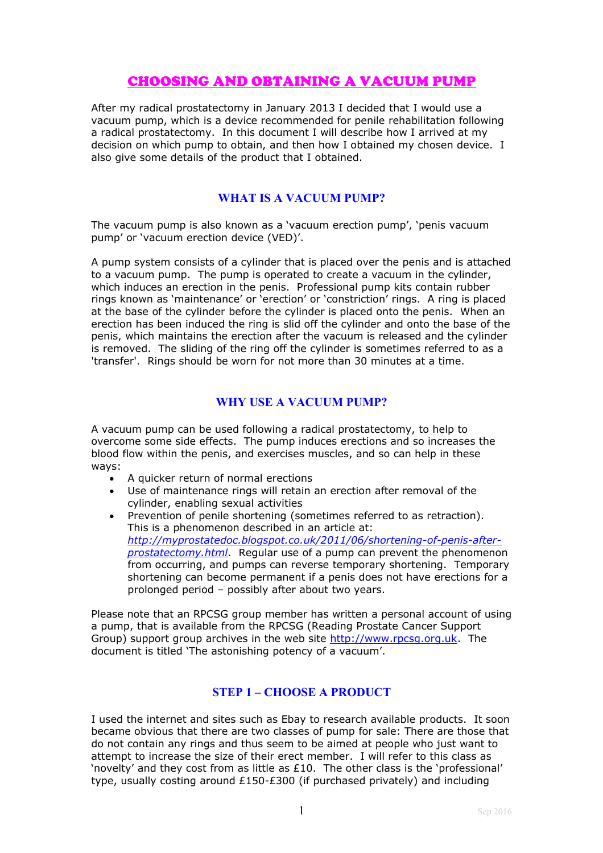# CHOOSING AND OBTAINING A VACUUM PUMP

After my radical prostatectomy in January 2013 I decided that I would use a vacuum pump, which is a device recommended for penile rehabilitation following a radical prostatectomy. In this document I will describe how I arrived at my decision on which pump to obtain, and then how I obtained my chosen device. I also give some details of the product that I obtained.

# **WHAT IS A VACUUM PUMP?**

The vacuum pump is also known as a 'vacuum erection pump', 'penis vacuum pump' or 'vacuum erection device (VED)'.

A pump system consists of a cylinder that is placed over the penis and is attached to a vacuum pump. The pump is operated to create a vacuum in the cylinder, which induces an erection in the penis. Professional pump kits contain rubber rings known as 'maintenance' or 'erection' or 'constriction' rings. A ring is placed at the base of the cylinder before the cylinder is placed onto the penis. When an erection has been induced the ring is slid off the cylinder and onto the base of the penis, which maintains the erection after the vacuum is released and the cylinder is removed. The sliding of the ring off the cylinder is sometimes referred to as a 'transfer'. Rings should be worn for not more than 30 minutes at a time.

# **WHY USE A VACUUM PUMP?**

A vacuum pump can be used following a radical prostatectomy, to help to overcome some side effects. The pump induces erections and so increases the blood flow within the penis, and exercises muscles, and so can help in these ways:

- A quicker return of normal erections
- Use of maintenance rings will retain an erection after removal of the cylinder, enabling sexual activities
- Prevention of penile shortening (sometimes referred to as retraction). This is a phenomenon described in an article at: *[http://myprostatedoc.blogspot.co.uk/2011/06/shortening-of-penis-after](http://myprostatedoc.blogspot.co.uk/2011/06/shortening-of-penis-after-prostatectomy.html)[prostatectomy.html](http://myprostatedoc.blogspot.co.uk/2011/06/shortening-of-penis-after-prostatectomy.html)*. Regular use of a pump can prevent the phenomenon from occurring, and pumps can reverse temporary shortening. Temporary shortening can become permanent if a penis does not have erections for a prolonged period – possibly after about two years.

Please note that an RPCSG group member has written a personal account of using a pump, that is available from the RPCSG (Reading Prostate Cancer Support Group) support group archives in the web site [http://www.rpcsg.org.uk.](http://www.rpcsg.org.uk/) The document is titled 'The astonishing potency of a vacuum'.

# **STEP 1 – CHOOSE A PRODUCT**

I used the internet and sites such as Ebay to research available products. It soon became obvious that there are two classes of pump for sale: There are those that do not contain any rings and thus seem to be aimed at people who just want to attempt to increase the size of their erect member. I will refer to this class as 'novelty' and they cost from as little as £10. The other class is the 'professional' type, usually costing around £150-£300 (if purchased privately) and including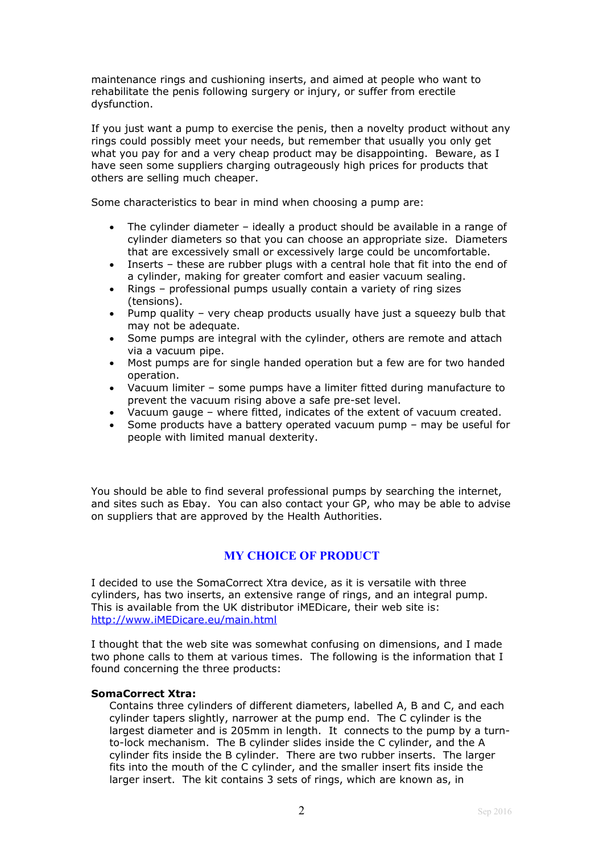maintenance rings and cushioning inserts, and aimed at people who want to rehabilitate the penis following surgery or injury, or suffer from erectile dysfunction.

If you just want a pump to exercise the penis, then a novelty product without any rings could possibly meet your needs, but remember that usually you only get what you pay for and a very cheap product may be disappointing. Beware, as I have seen some suppliers charging outrageously high prices for products that others are selling much cheaper.

Some characteristics to bear in mind when choosing a pump are:

- The cylinder diameter ideally a product should be available in a range of cylinder diameters so that you can choose an appropriate size. Diameters that are excessively small or excessively large could be uncomfortable.
- Inserts these are rubber plugs with a central hole that fit into the end of a cylinder, making for greater comfort and easier vacuum sealing.
- Rings professional pumps usually contain a variety of ring sizes (tensions).
- Pump quality very cheap products usually have just a squeezy bulb that may not be adequate.
- Some pumps are integral with the cylinder, others are remote and attach via a vacuum pipe.
- Most pumps are for single handed operation but a few are for two handed operation.
- Vacuum limiter some pumps have a limiter fitted during manufacture to prevent the vacuum rising above a safe pre-set level.
- Vacuum gauge where fitted, indicates of the extent of vacuum created.
- Some products have a battery operated vacuum pump may be useful for people with limited manual dexterity.

You should be able to find several professional pumps by searching the internet, and sites such as Ebay. You can also contact your GP, who may be able to advise on suppliers that are approved by the Health Authorities.

# **MY CHOICE OF PRODUCT**

I decided to use the SomaCorrect Xtra device, as it is versatile with three cylinders, has two inserts, an extensive range of rings, and an integral pump. This is available from the UK distributor iMEDicare, their web site is: [http://www.iMEDicare.eu/main.html](http://www.imedicare.eu/main.html)

I thought that the web site was somewhat confusing on dimensions, and I made two phone calls to them at various times. The following is the information that I found concerning the three products:

#### **SomaCorrect Xtra:**

Contains three cylinders of different diameters, labelled A, B and C, and each cylinder tapers slightly, narrower at the pump end. The C cylinder is the largest diameter and is 205mm in length. It connects to the pump by a turnto-lock mechanism. The B cylinder slides inside the C cylinder, and the A cylinder fits inside the B cylinder. There are two rubber inserts. The larger fits into the mouth of the C cylinder, and the smaller insert fits inside the larger insert. The kit contains 3 sets of rings, which are known as, in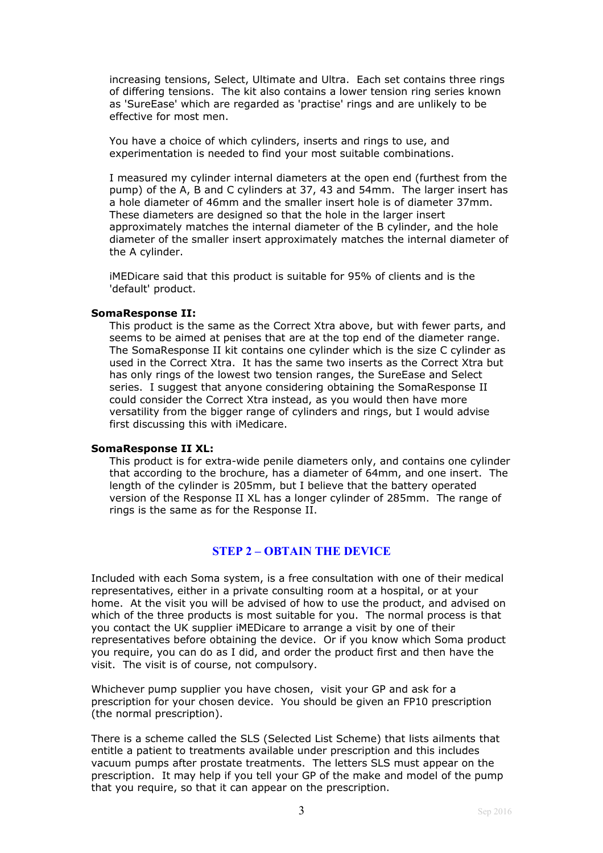increasing tensions, Select, Ultimate and Ultra. Each set contains three rings of differing tensions. The kit also contains a lower tension ring series known as 'SureEase' which are regarded as 'practise' rings and are unlikely to be effective for most men.

You have a choice of which cylinders, inserts and rings to use, and experimentation is needed to find your most suitable combinations.

I measured my cylinder internal diameters at the open end (furthest from the pump) of the A, B and C cylinders at 37, 43 and 54mm. The larger insert has a hole diameter of 46mm and the smaller insert hole is of diameter 37mm. These diameters are designed so that the hole in the larger insert approximately matches the internal diameter of the B cylinder, and the hole diameter of the smaller insert approximately matches the internal diameter of the A cylinder.

iMEDicare said that this product is suitable for 95% of clients and is the 'default' product.

#### **SomaResponse II:**

This product is the same as the Correct Xtra above, but with fewer parts, and seems to be aimed at penises that are at the top end of the diameter range. The SomaResponse II kit contains one cylinder which is the size C cylinder as used in the Correct Xtra. It has the same two inserts as the Correct Xtra but has only rings of the lowest two tension ranges, the SureEase and Select series. I suggest that anyone considering obtaining the SomaResponse II could consider the Correct Xtra instead, as you would then have more versatility from the bigger range of cylinders and rings, but I would advise first discussing this with iMedicare.

#### **SomaResponse II XL:**

This product is for extra-wide penile diameters only, and contains one cylinder that according to the brochure, has a diameter of 64mm, and one insert. The length of the cylinder is 205mm, but I believe that the battery operated version of the Response II XL has a longer cylinder of 285mm. The range of rings is the same as for the Response II.

### **STEP 2 – OBTAIN THE DEVICE**

Included with each Soma system, is a free consultation with one of their medical representatives, either in a private consulting room at a hospital, or at your home. At the visit you will be advised of how to use the product, and advised on which of the three products is most suitable for you. The normal process is that you contact the UK supplier iMEDicare to arrange a visit by one of their representatives before obtaining the device. Or if you know which Soma product you require, you can do as I did, and order the product first and then have the visit. The visit is of course, not compulsory.

Whichever pump supplier you have chosen, visit your GP and ask for a prescription for your chosen device. You should be given an FP10 prescription (the normal prescription).

There is a scheme called the SLS (Selected List Scheme) that lists ailments that entitle a patient to treatments available under prescription and this includes vacuum pumps after prostate treatments. The letters SLS must appear on the prescription. It may help if you tell your GP of the make and model of the pump that you require, so that it can appear on the prescription.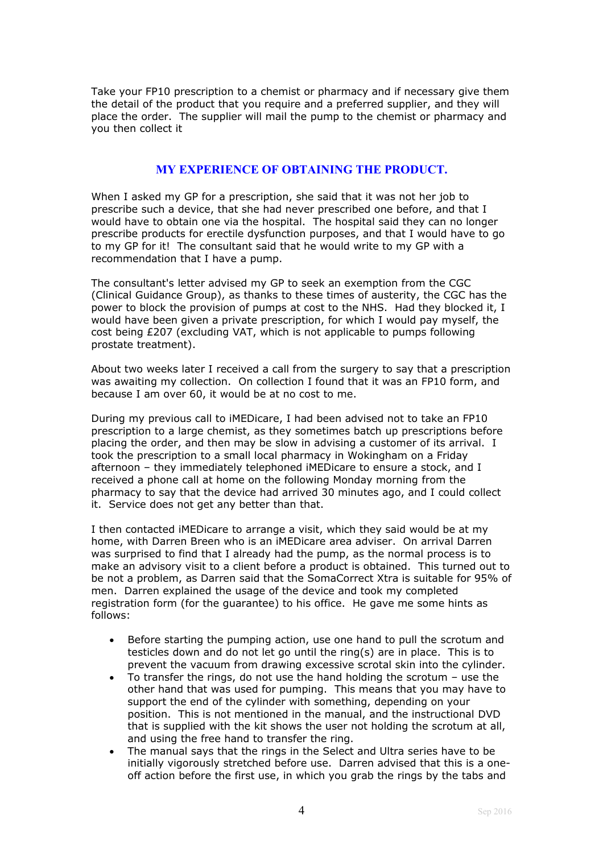Take your FP10 prescription to a chemist or pharmacy and if necessary give them the detail of the product that you require and a preferred supplier, and they will place the order. The supplier will mail the pump to the chemist or pharmacy and you then collect it

# **MY EXPERIENCE OF OBTAINING THE PRODUCT.**

When I asked my GP for a prescription, she said that it was not her job to prescribe such a device, that she had never prescribed one before, and that I would have to obtain one via the hospital. The hospital said they can no longer prescribe products for erectile dysfunction purposes, and that I would have to go to my GP for it! The consultant said that he would write to my GP with a recommendation that I have a pump.

The consultant's letter advised my GP to seek an exemption from the CGC (Clinical Guidance Group), as thanks to these times of austerity, the CGC has the power to block the provision of pumps at cost to the NHS. Had they blocked it, I would have been given a private prescription, for which I would pay myself, the cost being £207 (excluding VAT, which is not applicable to pumps following prostate treatment).

About two weeks later I received a call from the surgery to say that a prescription was awaiting my collection. On collection I found that it was an FP10 form, and because I am over 60, it would be at no cost to me.

During my previous call to iMEDicare, I had been advised not to take an FP10 prescription to a large chemist, as they sometimes batch up prescriptions before placing the order, and then may be slow in advising a customer of its arrival. I took the prescription to a small local pharmacy in Wokingham on a Friday afternoon – they immediately telephoned iMEDicare to ensure a stock, and I received a phone call at home on the following Monday morning from the pharmacy to say that the device had arrived 30 minutes ago, and I could collect it. Service does not get any better than that.

I then contacted iMEDicare to arrange a visit, which they said would be at my home, with Darren Breen who is an iMEDicare area adviser. On arrival Darren was surprised to find that I already had the pump, as the normal process is to make an advisory visit to a client before a product is obtained. This turned out to be not a problem, as Darren said that the SomaCorrect Xtra is suitable for 95% of men. Darren explained the usage of the device and took my completed registration form (for the guarantee) to his office. He gave me some hints as follows:

- Before starting the pumping action, use one hand to pull the scrotum and testicles down and do not let go until the ring(s) are in place. This is to prevent the vacuum from drawing excessive scrotal skin into the cylinder.
- To transfer the rings, do not use the hand holding the scrotum use the other hand that was used for pumping. This means that you may have to support the end of the cylinder with something, depending on your position. This is not mentioned in the manual, and the instructional DVD that is supplied with the kit shows the user not holding the scrotum at all, and using the free hand to transfer the ring.
- The manual says that the rings in the Select and Ultra series have to be initially vigorously stretched before use. Darren advised that this is a oneoff action before the first use, in which you grab the rings by the tabs and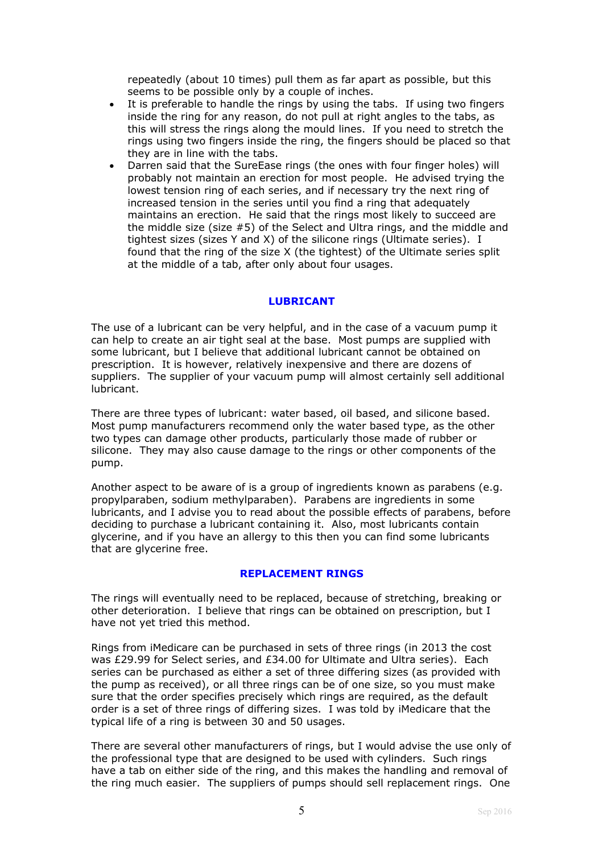repeatedly (about 10 times) pull them as far apart as possible, but this seems to be possible only by a couple of inches.

- It is preferable to handle the rings by using the tabs. If using two fingers inside the ring for any reason, do not pull at right angles to the tabs, as this will stress the rings along the mould lines. If you need to stretch the rings using two fingers inside the ring, the fingers should be placed so that they are in line with the tabs.
- Darren said that the SureEase rings (the ones with four finger holes) will probably not maintain an erection for most people. He advised trying the lowest tension ring of each series, and if necessary try the next ring of increased tension in the series until you find a ring that adequately maintains an erection. He said that the rings most likely to succeed are the middle size (size #5) of the Select and Ultra rings, and the middle and tightest sizes (sizes Y and X) of the silicone rings (Ultimate series). I found that the ring of the size X (the tightest) of the Ultimate series split at the middle of a tab, after only about four usages.

### **LUBRICANT**

The use of a lubricant can be very helpful, and in the case of a vacuum pump it can help to create an air tight seal at the base. Most pumps are supplied with some lubricant, but I believe that additional lubricant cannot be obtained on prescription. It is however, relatively inexpensive and there are dozens of suppliers. The supplier of your vacuum pump will almost certainly sell additional lubricant.

There are three types of lubricant: water based, oil based, and silicone based. Most pump manufacturers recommend only the water based type, as the other two types can damage other products, particularly those made of rubber or silicone. They may also cause damage to the rings or other components of the pump.

Another aspect to be aware of is a group of ingredients known as parabens (e.g. propylparaben, sodium methylparaben). Parabens are ingredients in some lubricants, and I advise you to read about the possible effects of parabens, before deciding to purchase a lubricant containing it. Also, most lubricants contain glycerine, and if you have an allergy to this then you can find some lubricants that are glycerine free.

### **REPLACEMENT RINGS**

The rings will eventually need to be replaced, because of stretching, breaking or other deterioration. I believe that rings can be obtained on prescription, but I have not yet tried this method.

Rings from iMedicare can be purchased in sets of three rings (in 2013 the cost was £29.99 for Select series, and £34.00 for Ultimate and Ultra series). Each series can be purchased as either a set of three differing sizes (as provided with the pump as received), or all three rings can be of one size, so you must make sure that the order specifies precisely which rings are required, as the default order is a set of three rings of differing sizes. I was told by iMedicare that the typical life of a ring is between 30 and 50 usages.

There are several other manufacturers of rings, but I would advise the use only of the professional type that are designed to be used with cylinders. Such rings have a tab on either side of the ring, and this makes the handling and removal of the ring much easier. The suppliers of pumps should sell replacement rings. One